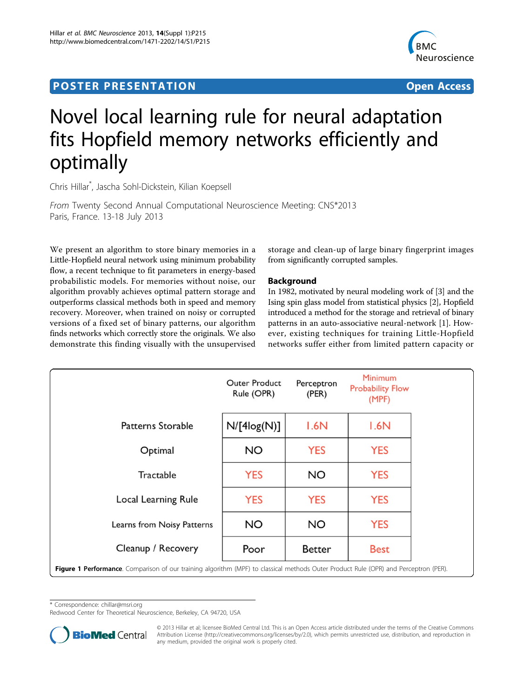# <span id="page-0-0"></span>**POSTER PRESENTATION CONSUMING THE SERVICE SERVICE SERVICES**



# Novel local learning rule for neural adaptation fits Hopfield memory networks efficiently and optimally

Chris Hillar\* , Jascha Sohl-Dickstein, Kilian Koepsell

From Twenty Second Annual Computational Neuroscience Meeting: CNS\*2013 Paris, France. 13-18 July 2013

We present an algorithm to store binary memories in a Little-Hopfield neural network using minimum probability flow, a recent technique to fit parameters in energy-based probabilistic models. For memories without noise, our algorithm provably achieves optimal pattern storage and outperforms classical methods both in speed and memory recovery. Moreover, when trained on noisy or corrupted versions of a fixed set of binary patterns, our algorithm finds networks which correctly store the originals. We also demonstrate this finding visually with the unsupervised

storage and clean-up of large binary fingerprint images from significantly corrupted samples.

## Background

In 1982, motivated by neural modeling work of [\[3\]](#page-1-0) and the Ising spin glass model from statistical physics [\[2](#page-1-0)], Hopfield introduced a method for the storage and retrieval of binary patterns in an auto-associative neural-network [\[1](#page-1-0)]. However, existing techniques for training Little-Hopfield networks suffer either from limited pattern capacity or

|                                                                                                                                      | <b>Outer Product</b><br>Rule (OPR) | Perceptron<br>(PER) | <b>Minimum</b><br><b>Probability Flow</b><br>(MPF) |
|--------------------------------------------------------------------------------------------------------------------------------------|------------------------------------|---------------------|----------------------------------------------------|
| <b>Patterns Storable</b>                                                                                                             | $N/[4\text{log}(N)]$               | 1.6N                | 1.6N                                               |
| Optimal                                                                                                                              | <b>NO</b>                          | <b>YES</b>          | <b>YES</b>                                         |
| Tractable                                                                                                                            | <b>YES</b>                         | <b>NO</b>           | <b>YES</b>                                         |
| Local Learning Rule                                                                                                                  | <b>YES</b>                         | <b>YES</b>          | <b>YES</b>                                         |
| Learns from Noisy Patterns                                                                                                           | <b>NO</b>                          | <b>NO</b>           | <b>YES</b>                                         |
| Cleanup / Recovery                                                                                                                   | Poor                               | <b>Better</b>       | Best                                               |
| Figure 1 Performance. Comparison of our training algorithm (MPF) to classical methods Outer Product Rule (OPR) and Perceptron (PER). |                                    |                     |                                                    |

\* Correspondence: [chillar@msri.org](mailto:chillar@msri.org)

Redwood Center for Theoretical Neuroscience, Berkeley, CA 94720, USA



© 2013 Hillar et al; licensee BioMed Central Ltd. This is an Open Access article distributed under the terms of the Creative Commons Attribution License [\(http://creativecommons.org/licenses/by/2.0](http://creativecommons.org/licenses/by/2.0)), which permits unrestricted use, distribution, and reproduction in any medium, provided the original work is properly cited.